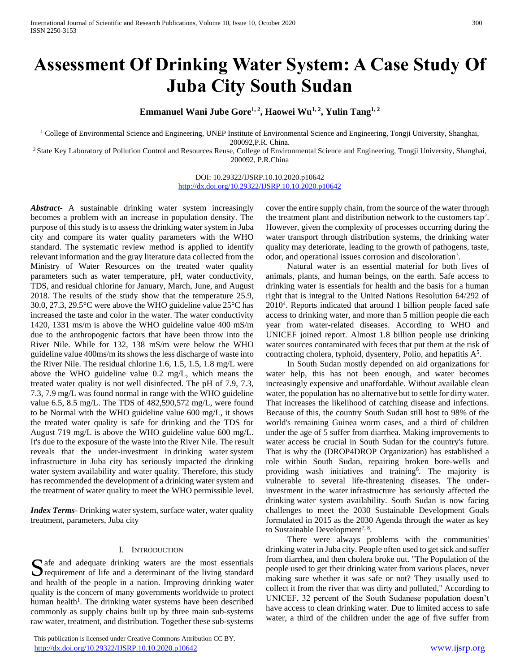# **Assessment Of Drinking Water System: A Case Study Of Juba City South Sudan**

Emmanuel Wani Jube Gore<sup>1, 2</sup>, Haowei Wu<sup>1, 2</sup>, Yulin Tang<sup>1, 2</sup>

<sup>1</sup> College of Environmental Science and Engineering, UNEP Institute of Environmental Science and Engineering, Tongji University, Shanghai, 200092,P.R. China.

<sup>2</sup> State Key Laboratory of Pollution Control and Resources Reuse, College of Environmental Science and Engineering, Tongji University, Shanghai, 200092, P.R.China

> DOI: 10.29322/IJSRP.10.10.2020.p10642 <http://dx.doi.org/10.29322/IJSRP.10.10.2020.p10642>

*Abstract***-** A sustainable drinking water system increasingly becomes a problem with an increase in population density. The purpose of this study is to assess the drinking water system in Juba city and compare its water quality parameters with the WHO standard. The systematic review method is applied to identify relevant information and the gray literature data collected from the Ministry of Water Resources on the treated water quality parameters such as water temperature, pH, water conductivity, TDS, and residual chlorine for January, March, June, and August 2018. The results of the study show that the temperature 25.9, 30.0, 27.3, 29.5°C were above the WHO guideline value 25°C has increased the taste and color in the water. The water conductivity 1420, 1331 ms/m is above the WHO guideline value 400 mS/m due to the anthropogenic factors that have been throw into the River Nile. While for 132, 138 mS/m were below the WHO guideline value 400ms/m its shows the less discharge of waste into the River Nile. The residual chlorine 1.6, 1.5, 1.5, 1.8 mg/L were above the WHO guideline value 0.2 mg/L, which means the treated water quality is not well disinfected. The pH of 7.9, 7.3, 7.3, 7.9 mg/L was found normal in range with the WHO guideline value 6.5, 8.5 mg/L. The TDS of 482,590,572 mg/L, were found to be Normal with the WHO guideline value 600 mg/L, it shows the treated water quality is safe for drinking and the TDS for August 719 mg/L is above the WHO guideline value 600 mg/L. It's due to the exposure of the waste into the River Nile. The result reveals that the under-investment in drinking water system infrastructure in Juba city has seriously impacted the drinking water system availability and water quality. Therefore, this study has recommended the development of a drinking water system and the treatment of water quality to meet the WHO permissible level.

*Index Terms*- Drinking water system, surface water, water quality treatment, parameters, Juba city

#### I. INTRODUCTION

Safe and adequate drinking waters are the most essentials<br>requirement of life and a determinant of the living standard  $\Box$  requirement of life and a determinant of the living standard and health of the people in a nation. Improving drinking water quality is the concern of many governments worldwide to protect human health<sup>1</sup>. The drinking water systems have been described commonly as supply chains built up by three main sub-systems raw water, treatment, and distribution. Together these sub-systems

 This publication is licensed under Creative Commons Attribution CC BY. <http://dx.doi.org/10.29322/IJSRP.10.10.2020.p10642> [www.ijsrp.org](http://ijsrp.org/)

cover the entire supply chain, from the source of the water through the treatment plant and distribution network to the customers tap<sup>2</sup>. However, given the complexity of processes occurring during the water transport through distribution systems, the drinking water quality may deteriorate, leading to the growth of pathogens, taste, odor, and operational issues corrosion and discoloration<sup>3</sup>.

 Natural water is an essential material for both lives of animals, plants, and human beings, on the earth. Safe access to drinking water is essentials for health and the basis for a human right that is integral to the United Nations Resolution 64/292 of 2010<sup>4</sup> . Reports indicated that around 1 billion people faced safe access to drinking water, and more than 5 million people die each year from water-related diseases. According to WHO and UNICEF joined report. Almost 1.8 billion people use drinking water sources contaminated with feces that put them at the risk of contracting cholera, typhoid, dysentery, Polio, and hepatitis  $A<sup>5</sup>$ .

 In South Sudan mostly depended on aid organizations for water help, this has not been enough, and water becomes increasingly expensive and unaffordable. Without available clean water, the population has no alternative but to settle for dirty water. That increases the likelihood of catching disease and infections. Because of this, the country South Sudan still host to 98% of the world's remaining Guinea worm cases, and a third of children under the age of 5 suffer from diarrhea. Making improvements to water access be crucial in South Sudan for the country's future. That is why the (DROP4DROP Organization) has established a role within South Sudan, repairing broken bore-wells and providing wash initiatives and training<sup>6</sup>. The majority is vulnerable to several life-threatening diseases. The underinvestment in the water infrastructure has seriously affected the drinking water system availability. South Sudan is now facing challenges to meet the 2030 Sustainable Development Goals formulated in 2015 as the 2030 Agenda through the water as key to Sustainable Development<sup>7, 8</sup>.

 There were always problems with the communities' drinking water in Juba city. People often used to get sick and suffer from diarrhea, and then cholera broke out. "The Population of the people used to get their drinking water from various places, never making sure whether it was safe or not? They usually used to collect it from the river that was dirty and polluted," According to UNICEF, 32 percent of the South Sudanese population doesn't have access to clean drinking water. Due to limited access to safe water, a third of the children under the age of five suffer from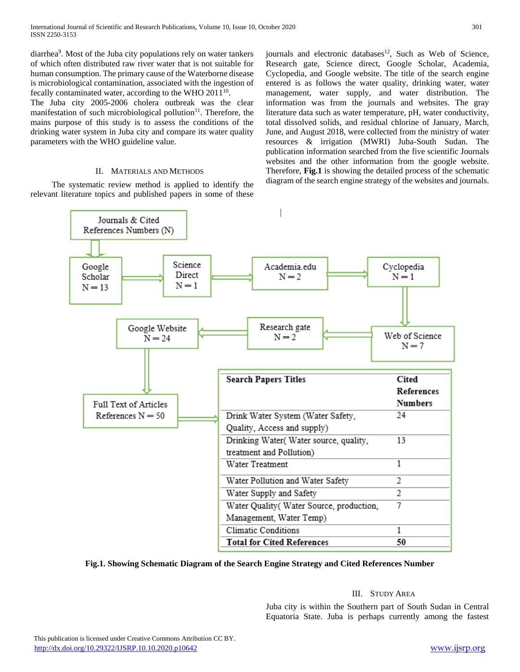diarrhea<sup>9</sup>. Most of the Juba city populations rely on water tankers of which often distributed raw river water that is not suitable for human consumption. The primary cause of the Waterborne disease is microbiological contamination, associated with the ingestion of fecally contaminated water, according to the WHO 2011<sup>10</sup>.

The Juba city 2005-2006 cholera outbreak was the clear manifestation of such microbiological pollution $11$ . Therefore, the mains purpose of this study is to assess the conditions of the drinking water system in Juba city and compare its water quality parameters with the WHO guideline value.

# II. MATERIALS AND METHODS

 The systematic review method is applied to identify the relevant literature topics and published papers in some of these journals and electronic databases<sup>12</sup>, Such as Web of Science, Research gate, Science direct, Google Scholar, Academia, Cyclopedia, and Google website. The title of the search engine entered is as follows the water quality, drinking water, water management, water supply, and water distribution. The information was from the journals and websites. The gray literature data such as water temperature, pH, water conductivity, total dissolved solids, and residual chlorine of January, March, June, and August 2018, were collected from the ministry of water resources & irrigation (MWRI) Juba-South Sudan. The publication information searched from the five scientific Journals websites and the other information from the google website. Therefore, **Fig.1** is showing the detailed process of the schematic diagram of the search engine strategy of the websites and journals.



**Fig.1. Showing Schematic Diagram of the Search Engine Strategy and Cited References Number**

# III. STUDY AREA

Juba city is within the Southern part of South Sudan in Central Equatoria State. Juba is perhaps currently among the fastest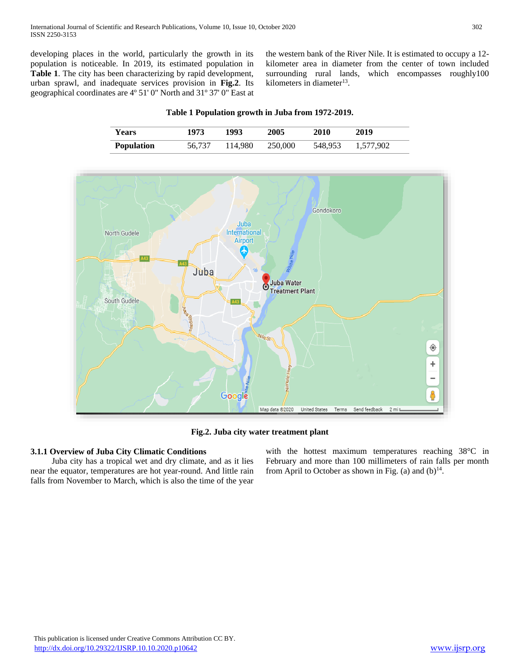developing places in the world, particularly the growth in its population is noticeable. In 2019, its estimated population in **Table 1**. The city has been characterizing by rapid development, urban sprawl, and inadequate services provision in **Fig.2**. Its geographical coordinates are 4º 51' 0" North and 31º 37' 0" East at the western bank of the River Nile. It is estimated to occupy a 12 kilometer area in diameter from the center of town included surrounding rural lands, which encompasses roughly100 kilometers in diameter<sup>13</sup>.

# **Years 1973 1993 2005 2010 2019 Population** 56,737 114,980 250,000 548,953 1,577,902

**Table 1 Population growth in Juba from 1972-2019.**



**Fig.2. Juba city water treatment plant**

# **3.1.1 Overview of Juba City Climatic Conditions**

 Juba city has a tropical wet and dry climate, and as it lies near the equator, temperatures are hot year-round. And little rain falls from November to March, which is also the time of the year

with the hottest maximum temperatures reaching 38°C in February and more than 100 millimeters of rain falls per month from April to October as shown in Fig. (a) and  $(b)^{14}$ .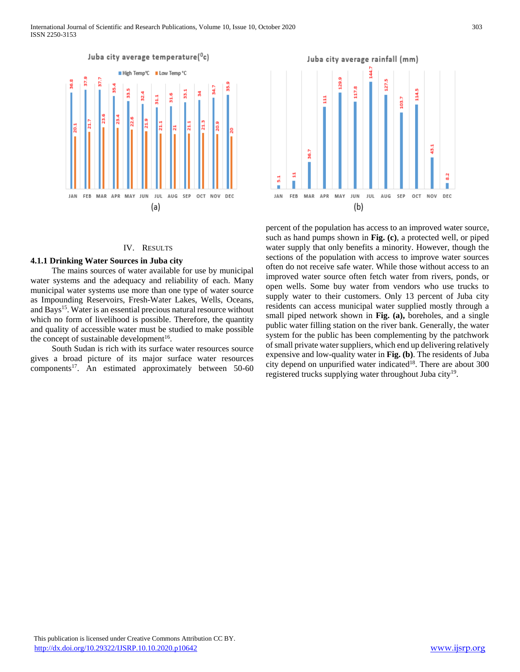

## IV. RESULTS

#### **4.1.1 Drinking Water Sources in Juba city**

 The mains sources of water available for use by municipal water systems and the adequacy and reliability of each. Many municipal water systems use more than one type of water source as Impounding Reservoirs, Fresh-Water Lakes, Wells, Oceans, and Bays<sup>15</sup>. Water is an essential precious natural resource without which no form of livelihood is possible. Therefore, the quantity and quality of accessible water must be studied to make possible the concept of sustainable development<sup>16</sup>.

 South Sudan is rich with its surface water resources source gives a broad picture of its major surface water resources components<sup>17</sup>. An estimated approximately between 50-60



percent of the population has access to an improved water source, such as hand pumps shown in **Fig. (c)**, a protected well, or piped water supply that only benefits a minority. However, though the sections of the population with access to improve water sources often do not receive safe water. While those without access to an improved water source often fetch water from rivers, ponds, or open wells. Some buy water from vendors who use trucks to supply water to their customers. Only 13 percent of Juba city residents can access municipal water supplied mostly through a small piped network shown in **Fig. (a),** boreholes, and a single public water filling station on the river bank. Generally, the water system for the public has been complementing by the patchwork of small private water suppliers, which end up delivering relatively expensive and low-quality water in **Fig. (b)**. The residents of Juba city depend on unpurified water indicated<sup>18</sup>. There are about  $300$ registered trucks supplying water throughout Juba city<sup>19</sup>.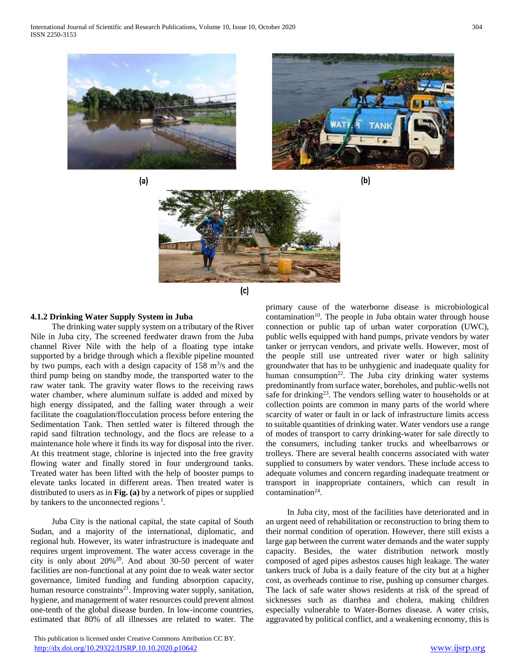International Journal of Scientific and Research Publications, Volume 10, Issue 10, October 2020 304 ISSN 2250-3153



 $(a)$ 









# **4.1.2 Drinking Water Supply System in Juba**

 The drinking water supply system on a tributary of the River Nile in Juba city, The screened feedwater drawn from the Juba channel River Nile with the help of a floating type intake supported by a bridge through which a flexible pipeline mounted by two pumps, each with a design capacity of  $158 \text{ m}^3\text{/s}$  and the third pump being on standby mode, the transported water to the raw water tank. The gravity water flows to the receiving raws water chamber, where aluminum sulfate is added and mixed by high energy dissipated, and the falling water through a weir facilitate the coagulation/flocculation process before entering the Sedimentation Tank. Then settled water is filtered through the rapid sand filtration technology, and the flocs are release to a maintenance hole where it finds its way for disposal into the river. At this treatment stage, chlorine is injected into the free gravity flowing water and finally stored in four underground tanks. Treated water has been lifted with the help of booster pumps to elevate tanks located in different areas. Then treated water is distributed to users as in **Fig. (a)** by a network of pipes or supplied by tankers to the unconnected regions<sup>1</sup>.

 Juba City is the national capital, the state capital of South Sudan, and a majority of the international, diplomatic, and regional hub. However, its water infrastructure is inadequate and requires urgent improvement. The water access coverage in the city is only about 20%<sup>20</sup>. And about 30-50 percent of water facilities are non-functional at any point due to weak water sector governance, limited funding and funding absorption capacity, human resource constraints<sup>21</sup>. Improving water supply, sanitation, hygiene, and management of water resources could prevent almost one-tenth of the global disease burden. In low-income countries, estimated that 80% of all illnesses are related to water. The

 This publication is licensed under Creative Commons Attribution CC BY. <http://dx.doi.org/10.29322/IJSRP.10.10.2020.p10642> [www.ijsrp.org](http://ijsrp.org/)

primary cause of the waterborne disease is microbiological contamination<sup>10</sup>. The people in Juba obtain water through house connection or public tap of urban water corporation (UWC), public wells equipped with hand pumps, private vendors by water tanker or jerrycan vendors, and private wells. However, most of the people still use untreated river water or high salinity groundwater that has to be unhygienic and inadequate quality for human consumption<sup>22</sup>. The Juba city drinking water systems predominantly from surface water, boreholes, and public-wells not safe for drinking<sup>23</sup>. The vendors selling water to households or at collection points are common in many parts of the world where scarcity of water or fault in or lack of infrastructure limits access to suitable quantities of drinking water. Water vendors use a range of modes of transport to carry drinking-water for sale directly to the consumers, including tanker trucks and wheelbarrows or trolleys. There are several health concerns associated with water supplied to consumers by water vendors. These include access to adequate volumes and concern regarding inadequate treatment or transport in inappropriate containers, which can result in  $contamination<sup>24</sup>$ .

 In Juba city, most of the facilities have deteriorated and in an urgent need of rehabilitation or reconstruction to bring them to their normal condition of operation. However, there still exists a large gap between the current water demands and the water supply capacity. Besides, the water distribution network mostly composed of aged pipes asbestos causes high leakage. The water tankers truck of Juba is a daily feature of the city but at a higher cost, as overheads continue to rise, pushing up consumer charges. The lack of safe water shows residents at risk of the spread of sicknesses such as diarrhea and cholera, making children especially vulnerable to Water-Bornes disease. A water crisis, aggravated by political conflict, and a weakening economy, this is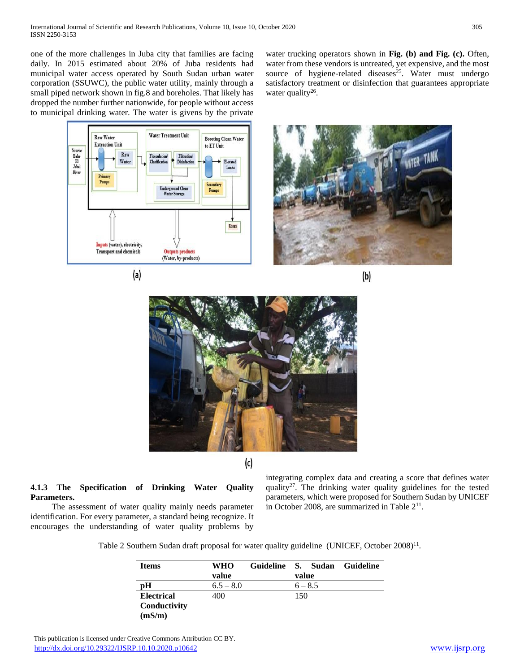one of the more challenges in Juba city that families are facing daily. In 2015 estimated about 20% of Juba residents had municipal water access operated by South Sudan urban water corporation (SSUWC), the public water utility, mainly through a small piped network shown in fig.8 and boreholes. That likely has dropped the number further nationwide, for people without access to municipal drinking water. The water is givens by the private water trucking operators shown in **Fig. (b) and Fig. (c).** Often, water from these vendors is untreated, yet expensive, and the most source of hygiene-related diseases $25$ . Water must undergo satisfactory treatment or disinfection that guarantees appropriate water quality $26$ .











 $(c)$ 

# **4.1.3 The Specification of Drinking Water Quality Parameters.**

 The assessment of water quality mainly needs parameter identification. For every parameter, a standard being recognize. It encourages the understanding of water quality problems by integrating complex data and creating a score that defines water quality<sup>27</sup>. The drinking water quality guidelines for the tested parameters, which were proposed for Southern Sudan by UNICEF in October 2008, are summarized in Table  $2<sup>11</sup>$ .

Table 2 Southern Sudan draft proposal for water quality guideline (UNICEF, October 2008)<sup>11</sup>.

| <b>Items</b>           | WHO         | Guideline |       | S. Sudan  | Guideline |
|------------------------|-------------|-----------|-------|-----------|-----------|
|                        | value       |           | value |           |           |
| pH                     | $6.5 - 8.0$ |           |       | $6 - 8.5$ |           |
| <b>Electrical</b>      | 400         |           | 150   |           |           |
| Conductivity<br>(mS/m) |             |           |       |           |           |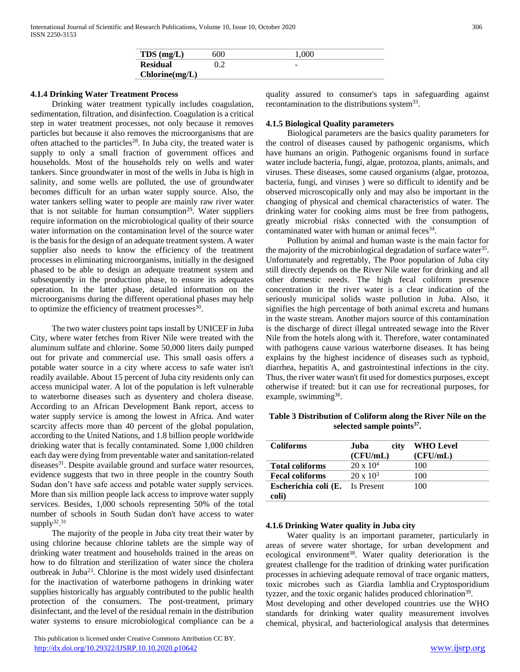| $TDS$ (mg/L)    | 600 | 1.000 |
|-----------------|-----|-------|
| <b>Residual</b> |     | ۰     |
| Chlorine(mg/L)  |     |       |

## **4.1.4 Drinking Water Treatment Process**

 Drinking water treatment typically includes coagulation, sedimentation, filtration, and disinfection. Coagulation is a critical step in water treatment processes, not only because it removes particles but because it also removes the microorganisms that are often attached to the particles<sup>28</sup>. In Juba city, the treated water is supply to only a small fraction of government offices and households. Most of the households rely on wells and water tankers. Since groundwater in most of the wells in Juba is high in salinity, and some wells are polluted, the use of groundwater becomes difficult for an urban water supply source. Also, the water tankers selling water to people are mainly raw river water that is not suitable for human consumption<sup>29</sup>. Water suppliers require information on the microbiological quality of their source water information on the contamination level of the source water is the basis for the design of an adequate treatment system. A water supplier also needs to know the efficiency of the treatment processes in eliminating microorganisms, initially in the designed phased to be able to design an adequate treatment system and subsequently in the production phase, to ensure its adequates operation. In the latter phase, detailed information on the microorganisms during the different operational phases may help to optimize the efficiency of treatment processes $30$ .

 The two water clusters point taps install by UNICEF in Juba City, where water fetches from River Nile were treated with the aluminum sulfate and chlorine. Some 50,000 liters daily pumped out for private and commercial use. This small oasis offers a potable water source in a city where access to safe water isn't readily available. About 15 percent of Juba city residents only can access municipal water. A lot of the population is left vulnerable to waterborne diseases such as dysentery and cholera disease. According to an African Development Bank report, access to water supply service is among the lowest in Africa. And water scarcity affects more than 40 percent of the global population, according to the United Nations, and 1.8 billion people worldwide drinking water that is fecally contaminated. Some 1,000 children each day were dying from preventable water and sanitation-related diseases<sup>31</sup>. Despite available ground and surface water resources, evidence suggests that two in three people in the country South Sudan don't have safe access and potable water supply services. More than six million people lack access to improve water supply services. Besides, 1,000 schools representing 50% of the total number of schools in South Sudan don't have access to water supply $32,31$ 

 The majority of the people in Juba city treat their water by using chlorine because chlorine tablets are the simple way of drinking water treatment and households trained in the areas on how to do filtration and sterilization of water since the cholera outbreak in Juba<sup>23</sup>. Chlorine is the most widely used disinfectant for the inactivation of waterborne pathogens in drinking water supplies historically has arguably contributed to the public health protection of the consumers. The post-treatment, primary disinfectant, and the level of the residual remain in the distribution water systems to ensure microbiological compliance can be a

 This publication is licensed under Creative Commons Attribution CC BY. <http://dx.doi.org/10.29322/IJSRP.10.10.2020.p10642> [www.ijsrp.org](http://ijsrp.org/)

quality assured to consumer's taps in safeguarding against recontamination to the distributions system<sup>33</sup>.

# **4.1.5 Biological Quality parameters**

 Biological parameters are the basics quality parameters for the control of diseases caused by pathogenic organisms, which have humans an origin. Pathogenic organisms found in surface water include bacteria, fungi, algae, protozoa, plants, animals, and viruses. These diseases, some caused organisms (algae, protozoa, bacteria, fungi, and viruses ) were so difficult to identify and be observed microscopically only and may also be important in the changing of physical and chemical characteristics of water. The drinking water for cooking aims must be free from pathogens, greatly microbial risks connected with the consumption of contaminated water with human or animal feces<sup>34</sup>.

 Pollution by animal and human waste is the main factor for the majority of the microbiological degradation of surface water<sup>35</sup>. Unfortunately and regrettably, The Poor population of Juba city still directly depends on the River Nile water for drinking and all other domestic needs. The high fecal coliform presence concentration in the river water is a clear indication of the seriously municipal solids waste pollution in Juba. Also, it signifies the high percentage of both animal excreta and humans in the waste stream. Another majors source of this contamination is the discharge of direct illegal untreated sewage into the River Nile from the hotels along with it. Therefore, water contaminated with pathogens cause various waterborne diseases. It has being explains by the highest incidence of diseases such as typhoid, diarrhea, hepatitis A, and gastrointestinal infections in the city. Thus, the river water wasn't fit used for domestics purposes, except otherwise if treated: but it can use for recreational purposes, for example, swimming<sup>36</sup>.

**Table 3 Distribution of Coliform along the River Nile on the selected sample points<sup>37</sup> .**

| <b>Coliforms</b>       | Juba<br>city     | <b>WHO</b> Level |
|------------------------|------------------|------------------|
|                        | (CFU/mL)         | (CFU/mL)         |
| <b>Total coliforms</b> | $20 \times 10^4$ | 100              |
| <b>Fecal coliforms</b> | $20 \times 10^3$ | 100              |
| Escherichia coli (E.   | Is Present       | 100              |
| coli)                  |                  |                  |

#### **4.1.6 Drinking Water quality in Juba city**

 Water quality is an important parameter, particularly in areas of severe water shortage, for urban development and ecological environment<sup>38</sup>. Water quality deterioration is the greatest challenge for the tradition of drinking water purification processes in achieving adequate removal of trace organic matters, toxic microbes such as Giardia lamblia and Cryptosporidium tyzzer, and the toxic organic halides produced chlorination<sup>39</sup>.

Most developing and other developed countries use the WHO standards for drinking water quality measurement involves chemical, physical, and bacteriological analysis that determines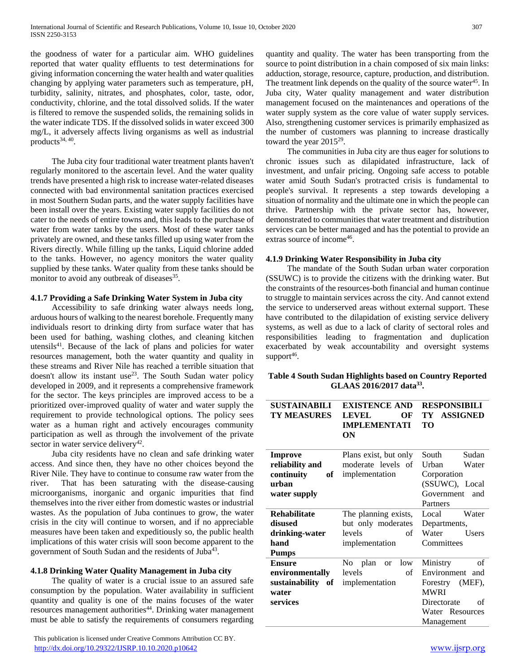the goodness of water for a particular aim. WHO guidelines reported that water quality effluents to test determinations for giving information concerning the water health and water qualities changing by applying water parameters such as temperature, pH, turbidity, salinity, nitrates, and phosphates, color, taste, odor, conductivity, chlorine, and the total dissolved solids. If the water is filtered to remove the suspended solids, the remaining solids in the water indicate TDS. If the dissolved solids in water exceed 300 mg/L, it adversely affects living organisms as well as industrial products<sup>34, 40</sup>.

 The Juba city four traditional water treatment plants haven't regularly monitored to the ascertain level. And the water quality trends have presented a high risk to increase water-related diseases connected with bad environmental sanitation practices exercised in most Southern Sudan parts, and the water supply facilities have been install over the years. Existing water supply facilities do not cater to the needs of entire towns and, this leads to the purchase of water from water tanks by the users. Most of these water tanks privately are owned, and these tanks filled up using water from the Rivers directly. While filling up the tanks, Liquid chlorine added to the tanks. However, no agency monitors the water quality supplied by these tanks. Water quality from these tanks should be monitor to avoid any outbreak of diseases<sup>35</sup>.

# **4.1.7 Providing a Safe Drinking Water System in Juba city**

 Accessibility to safe drinking water always needs long, arduous hours of walking to the nearest borehole. Frequently many individuals resort to drinking dirty from surface water that has been used for bathing, washing clothes, and cleaning kitchen utensils<sup>41</sup>. Because of the lack of plans and policies for water resources management, both the water quantity and quality in these streams and River Nile has reached a terrible situation that doesn't allow its instant use<sup>23</sup>. The South Sudan water policy developed in 2009, and it represents a comprehensive framework for the sector. The keys principles are improved access to be a prioritized over-improved quality of water and water supply the requirement to provide technological options. The policy sees water as a human right and actively encourages community participation as well as through the involvement of the private sector in water service delivery<sup>42</sup>.

 Juba city residents have no clean and safe drinking water access. And since then, they have no other choices beyond the River Nile. They have to continue to consume raw water from the river. That has been saturating with the disease-causing microorganisms, inorganic and organic impurities that find themselves into the river either from domestic wastes or industrial wastes. As the population of Juba continues to grow, the water crisis in the city will continue to worsen, and if no appreciable measures have been taken and expeditiously so, the public health implications of this water crisis will soon become apparent to the government of South Sudan and the residents of Juba<sup>43</sup>.

# **4.1.8 Drinking Water Quality Management in Juba city**

 The quality of water is a crucial issue to an assured safe consumption by the population. Water availability in sufficient quantity and quality is one of the mains focuses of the water resources management authorities<sup>44</sup>. Drinking water management must be able to satisfy the requirements of consumers regarding

 This publication is licensed under Creative Commons Attribution CC BY. <http://dx.doi.org/10.29322/IJSRP.10.10.2020.p10642> [www.ijsrp.org](http://ijsrp.org/)

quantity and quality. The water has been transporting from the source to point distribution in a chain composed of six main links: adduction, storage, resource, capture, production, and distribution. The treatment link depends on the quality of the source water<sup>45</sup>. In Juba city, Water quality management and water distribution management focused on the maintenances and operations of the water supply system as the core value of water supply services. Also, strengthening customer services is primarily emphasized as the number of customers was planning to increase drastically toward the year  $2015^{29}$ .

 The communities in Juba city are thus eager for solutions to chronic issues such as dilapidated infrastructure, lack of investment, and unfair pricing. Ongoing safe access to potable water amid South Sudan's protracted crisis is fundamental to people's survival. It represents a step towards developing a situation of normality and the ultimate one in which the people can thrive. Partnership with the private sector has, however, demonstrated to communities that water treatment and distribution services can be better managed and has the potential to provide an extras source of income<sup>46</sup>.

# **4.1.9 Drinking Water Responsibility in Juba city**

 The mandate of the South Sudan urban water corporation (SSUWC) is to provide the citizens with the drinking water. But the constraints of the resources-both financial and human continue to struggle to maintain services across the city. And cannot extend the service to underserved areas without external support. These have contributed to the dilapidation of existing service delivery systems, as well as due to a lack of clarity of sectoral roles and responsibilities leading to fragmentation and duplication exacerbated by weak accountability and oversight systems support<sup>46</sup>.

# **Table 4 South Sudan Highlights based on Country Reported GLAAS 2016/2017 data<sup>33</sup> .**

| <b>SUSTAINABILI</b><br><b>TY MEASURES</b> | <b>EXISTENCE AND</b><br><b>LEVEL</b><br>OF<br><b>IMPLEMENTATI</b><br>ON | <b>RESPONSIBILI</b><br>TY ASSIGNED<br>TО |  |  |
|-------------------------------------------|-------------------------------------------------------------------------|------------------------------------------|--|--|
| <b>Improve</b>                            | Plans exist, but only                                                   | Sudan<br>South                           |  |  |
| reliability and                           | moderate levels of                                                      | Urban<br>Water                           |  |  |
| continuity<br>of                          | implementation                                                          | Corporation                              |  |  |
| urban                                     |                                                                         | (SSUWC), Local                           |  |  |
| water supply                              |                                                                         | Government and                           |  |  |
|                                           |                                                                         | Partners                                 |  |  |
| <b>Rehabilitate</b>                       | The planning exists,                                                    | Water<br>Local                           |  |  |
| disused                                   | but only moderates                                                      | Departments,                             |  |  |
| drinking-water                            | levels<br>of                                                            | Water<br><b>Users</b>                    |  |  |
| hand                                      | implementation                                                          | Committees                               |  |  |
| <b>Pumps</b>                              |                                                                         |                                          |  |  |
| <b>Ensure</b>                             | No plan<br>low<br><b>or</b>                                             | Ministry<br>of                           |  |  |
| environmentally                           | levels<br>of                                                            | Environment and                          |  |  |
| sustainability of                         | implementation                                                          | (MEF),<br>Forestry                       |  |  |
| water                                     |                                                                         | <b>MWRI</b>                              |  |  |
| services                                  |                                                                         | Directorate<br>of                        |  |  |
|                                           |                                                                         | Water Resources                          |  |  |
|                                           |                                                                         | Management                               |  |  |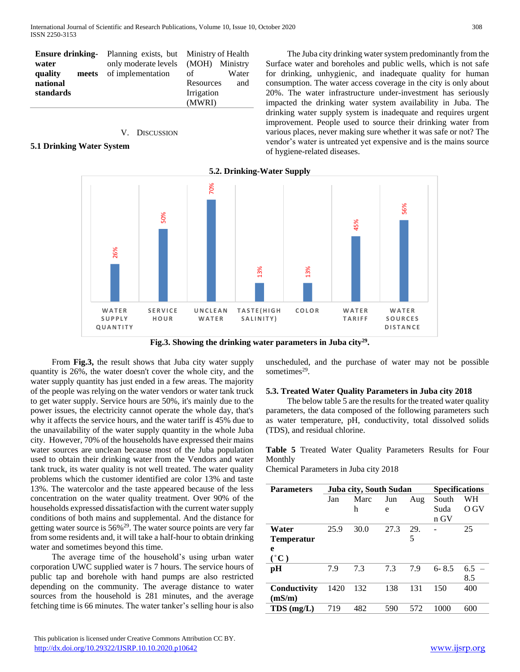|                  | <b>Ensure drinking-</b> Planning exists, but Ministry of Health |                  |  |
|------------------|-----------------------------------------------------------------|------------------|--|
| water            | only moderate levels (MOH) Ministry                             |                  |  |
| quality<br>meets | of implementation                                               | of<br>Water      |  |
| national         |                                                                 | and<br>Resources |  |
| standards        |                                                                 | Irrigation       |  |
|                  |                                                                 | (MWRI)           |  |

## V. DISCUSSION

# **5.1 Drinking Water System**

 The Juba city drinking water system predominantly from the Surface water and boreholes and public wells, which is not safe for drinking, unhygienic, and inadequate quality for human consumption. The water access coverage in the city is only about 20%. The water infrastructure under-investment has seriously impacted the drinking water system availability in Juba. The drinking water supply system is inadequate and requires urgent improvement. People used to source their drinking water from various places, never making sure whether it was safe or not? The vendor's water is untreated yet expensive and is the mains source of hygiene-related diseases.

# **5.2. Drinking-Water Supply**



**Fig.3. Showing the drinking water parameters in Juba city<sup>29</sup> .**

 From **Fig.3,** the result shows that Juba city water supply quantity is 26%, the water doesn't cover the whole city, and the water supply quantity has just ended in a few areas. The majority of the people was relying on the water vendors or water tank truck to get water supply. Service hours are 50%, it's mainly due to the power issues, the electricity cannot operate the whole day, that's why it affects the service hours, and the water tariff is 45% due to the unavailability of the water supply quantity in the whole Juba city. However, 70% of the households have expressed their mains water sources are unclean because most of the Juba population used to obtain their drinking water from the Vendors and water tank truck, its water quality is not well treated. The water quality problems which the customer identified are color 13% and taste 13%. The watercolor and the taste appeared because of the less concentration on the water quality treatment. Over 90% of the households expressed dissatisfaction with the current water supply conditions of both mains and supplemental. And the distance for getting water source is 56%<sup>29</sup>. The water source points are very far from some residents and, it will take a half-hour to obtain drinking water and sometimes beyond this time.

 The average time of the household's using urban water corporation UWC supplied water is 7 hours. The service hours of public tap and borehole with hand pumps are also restricted depending on the community. The average distance to water sources from the household is 281 minutes, and the average fetching time is 66 minutes. The water tanker's selling hour is also

 This publication is licensed under Creative Commons Attribution CC BY. <http://dx.doi.org/10.29322/IJSRP.10.10.2020.p10642> [www.ijsrp.org](http://ijsrp.org/)

unscheduled, and the purchase of water may not be possible sometimes<sup>29</sup>.

#### **5.3. Treated Water Quality Parameters in Juba city 2018**

 The below table 5 are the results for the treated water quality parameters, the data composed of the following parameters such as water temperature, pH, conductivity, total dissolved solids (TDS), and residual chlorine.

**Table 5** Treated Water Quality Parameters Results for Four Monthly

Chemical Parameters in Juba city 2018

| <b>Parameters</b> | Juba city, South Sudan |      |      |     | <b>Specifications</b> |         |
|-------------------|------------------------|------|------|-----|-----------------------|---------|
|                   | Jan                    | Marc | Jun  | Aug | South                 | WН      |
|                   |                        | h    | e    |     | Suda                  | O GV    |
|                   |                        |      |      |     | n GV                  |         |
| Water             | 25.9                   | 30.0 | 27.3 | 29. |                       | 25      |
| <b>Temperatur</b> |                        |      |      | 5   |                       |         |
| e                 |                        |      |      |     |                       |         |
| $(^{\circ}C)$     |                        |      |      |     |                       |         |
| pH                | 7.9                    | 7.3  | 7.3  | 7.9 | $6 - 8.5$             | $6.5 -$ |
|                   |                        |      |      |     |                       | 8.5     |
| Conductivity      | 1420                   | 132  | 138  | 131 | 150                   | 400     |
| (mS/m)            |                        |      |      |     |                       |         |
| $TDS$ (mg/L)      | 719                    | 482  | 590  | 572 | 1000                  | 600     |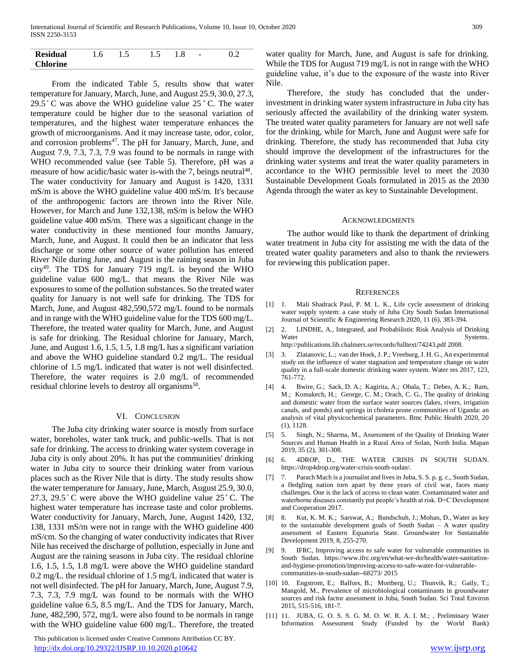| <b>Residual</b> | 1.6 | $\overline{\phantom{a}}$ | 1.5 | 1.8 | $\overline{\phantom{a}}$ |  |
|-----------------|-----|--------------------------|-----|-----|--------------------------|--|
| <b>Chlorine</b> |     |                          |     |     |                          |  |

 From the indicated Table 5, results show that water temperature for January, March, June, and August 25.9, 30.0, 27.3, 29.5 ̊ C was above the WHO guideline value 25 **̊** C. The water temperature could be higher due to the seasonal variation of temperatures, and the highest water temperature enhances the growth of microorganisms. And it may increase taste, odor, color, and corrosion problems<sup>47</sup>. The pH for January, March, June, and August 7.9, 7.3, 7.3, 7.9 was found to be normals in range with WHO recommended value (see Table 5). Therefore, pH was a measure of how acidic/basic water is-with the 7, beings neutral<sup>48</sup>. The water conductivity for January and August is 1420, 1331 mS/m is above the WHO guideline value 400 mS/m. It's because of the anthropogenic factors are thrown into the River Nile. However, for March and June 132,138, mS/m is below the WHO guideline value 400 mS/m. There was a significant change in the water conductivity in these mentioned four months January, March, June, and August. It could then be an indicator that less discharge or some other source of water pollution has entered River Nile during June, and August is the raining season in Juba city<sup>49</sup>. The TDS for January 719 mg/L is beyond the WHO guideline value 600 mg/L. that means the River Nile was exposures to some of the pollution substances. So the treated water quality for January is not well safe for drinking. The TDS for March, June, and August 482,590,572 mg/L found to be normals and in range with the WHO guideline value for the TDS 600 mg/L. Therefore, the treated water quality for March, June, and August is safe for drinking. The Residual chlorine for January, March, June, and August 1.6, 1.5, 1.5, 1.8 mg/L has a significant variation and above the WHO guideline standard 0.2 mg/L. The residual chlorine of 1.5 mg/L indicated that water is not well disinfected. Therefore, the water requires is 2.0 mg/L of recommended residual chlorine levels to destroy all organisms<sup>50</sup>.

#### VI. CONCLUSION

 The Juba city drinking water source is mostly from surface water, boreholes, water tank truck, and public-wells. That is not safe for drinking. The access to drinking water system coverage in Juba city is only about 20%. It has put the communities' drinking water in Juba city to source their drinking water from various places such as the River Nile that is dirty. The study results show the water temperature for January, June, March, August 25.9, 30.0, 27.3, 29.5 $\degree$ C were above the WHO guideline value 25 $\degree$ C. The highest water temperature has increase taste and color problems. Water conductivity for January, March, June, August 1420, 132, 138, 1331 mS/m were not in range with the WHO guideline 400 mS/cm. So the changing of water conductivity indicates that River Nile has received the discharge of pollution, especially in June and August are the raining seasons in Juba city. The residual chlorine 1.6, 1.5, 1.5, 1.8 mg/L were above the WHO guideline standard 0.2 mg/L. the residual chlorine of 1.5 mg/L indicated that water is not well disinfected. The pH for January, March, June, August 7.9, 7.3, 7.3, 7.9 mg/L was found to be normals with the WHO guideline value 6.5, 8.5 mg/L. And the TDS for January, March, June, 482,590, 572, mg/L were also found to be normals in range with the WHO guideline value 600 mg/L. Therefore, the treated

 This publication is licensed under Creative Commons Attribution CC BY. <http://dx.doi.org/10.29322/IJSRP.10.10.2020.p10642> [www.ijsrp.org](http://ijsrp.org/)

water quality for March, June, and August is safe for drinking. While the TDS for August 719 mg/L is not in range with the WHO guideline value, it's due to the exposure of the waste into River Nile.

 Therefore, the study has concluded that the underinvestment in drinking water system infrastructure in Juba city has seriously affected the availability of the drinking water system. The treated water quality parameters for January are not well safe for the drinking, while for March, June and August were safe for drinking. Therefore, the study has recommended that Juba city should improve the development of the infrastructures for the drinking water systems and treat the water quality parameters in accordance to the WHO permissible level to meet the 2030 Sustainable Development Goals formulated in 2015 as the 2030 Agenda through the water as key to Sustainable Development.

#### ACKNOWLEDGMENTS

 The author would like to thank the department of drinking water treatment in Juba city for assisting me with the data of the treated water quality parameters and also to thank the reviewers for reviewing this publication paper.

#### **REFERENCES**

- [1] 1. Mali Shadrack Paul, P. M. L. K., Life cycle assessment of drinking water supply system: a case study of Juba City South Sudan International Journal of Scientific & Engineering Research 2020, 11 (6), 383-394.
- [2] 2. LINDHE, A., Integrated, and Probabilistic Risk Analysis of Drinking Systems. http://publications.lib.chalmers.se/records/fulltext/74243.pdf 2008.
- [3] 3. Zlatanovic, L.; van der Hoek, J. P.; Vreeburg, J. H. G., An experimental study on the influence of water stagnation and temperature change on water quality in a full-scale domestic drinking water system. Water res 2017, 123, 761-772.
- [4] 4. Bwire, G.; Sack, D. A.; Kagirita, A.; Obala, T.; Debes, A. K.; Ram, M.; Komakech, H.; George, C. M.; Orach, C. G., The quality of drinking and domestic water from the surface water sources (lakes, rivers, irrigation canals, and ponds) and springs in cholera prone communities of Uganda: an analysis of vital physicochemical parameters. Bmc Public Health 2020, 20 (1), 1128.
- [5] 5. Singh, N.; Sharma, M., Assessment of the Quality of Drinking Water Sources and Human Health in a Rural Area of Solan, North India. Mapan 2019, 35 (2), 301-308.
- [6] 6. 4DROP, D., THE WATER CRISIS IN SOUTH SUDAN. https://drop4drop.org/water-crisis-south-sudan/.
- [7] 7. Parach Mach is a journalist and lives in Juba, S. S. p. g. c., South Sudan, a fledgling nation torn apart by three years of civil war, faces many challenges. One is the lack of access to clean water. Contaminated water and waterborne diseases constantly put people's health at risk. D+C Development and Cooperation 2017.
- [8] 8. Kut, K. M. K.; Sarswat, A.; Bundschuh, J.; Mohan, D., Water as key to the sustainable development goals of South Sudan – A water quality assessment of Eastern Equatoria State. Groundwater for Sustainable Development 2019, 8, 255-270.
- [9] 9. IFRC, Improving access to safe water for vulnerable communities in South Sudan. https://www.ifrc.org/en/what-we-do/health/water-sanitationand-hygiene-promotion/improving-access-to-safe-water-for-vulnerablecommunities-in-south-sudan--68273/ 2015
- [10] 10. Engstrom, E.; Balfors, B.; Mortberg, U.; Thunvik, R.; Gaily, T.; Mangold, M., Prevalence of microbiological contaminants in groundwater sources and risk factor assessment in Juba, South Sudan. Sci Total Environ 2015, 515-516, 181-7.
- [11] 11. JUBA, G. O. S. S. G. M. O. W. R. A. I. M.; , Preliminary Water Information Assessment Study (Funded by the World Bank)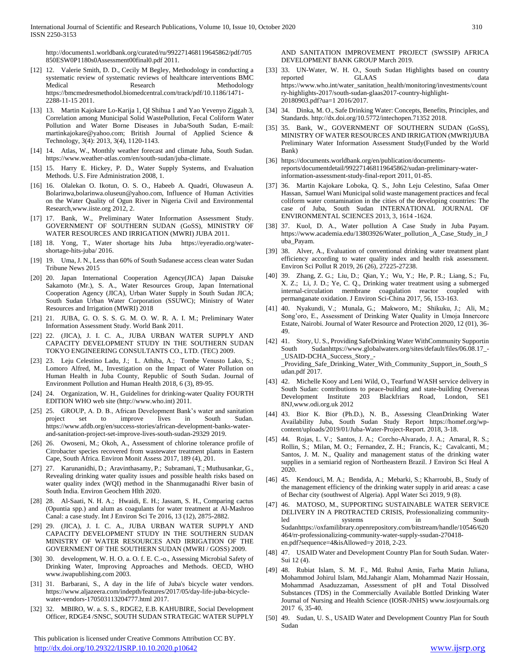http://documents1.worldbank.org/curated/ru/992271468119645862/pdf/705 850ESW0P1180s0Assessment00final0.pdf 2011.

- [12] 12. Valerie Smith, D. D., Cecily M Begley, Methodology in conducting a systematic review of systematic reviews of healthcare interventions BMC Medical Research Methodology https://bmcmedresmethodol.biomedcentral.com/track/pdf/10.1186/1471- 2288-11-15 2011.
- [13] 13. Martin Kajokare Lo-Karija 1, QI Shihua 1 and Yao Yevenyo Ziggah 3, Correlation among Municipal Solid WastePollution, Fecal Coliform Water Pollution and Water Borne Diseases in Juba/South Sudan, E-mail: martinkajokare@yahoo.com; British Journal of Applied Science & Technology, 3(4): 2013, 3(4), 1120-1143.
- [14] 14. Atlas, W., Monthly weather forecast and climate Juba, South Sudan. https://www.weather-atlas.com/en/south-sudan/juba-climate.
- [15] 15. Harry E. Hickey, P. D., Water Supply Systems, and Evaluation Methods. U.S. Fire Administration 2008, 1.
- [16] 16. Olalekan O. Ikotun, O. S. O., Habeeb A. Quadri, Oluwaseun A. Bolarinwa,bolarinwa.oluseun@yahoo.com, Influence of Human Activities on the Water Quality of Ogun River in Nigeria Civil and Environmental Research,www.iiste.org 2012, 2.
- [17] 17. Bank, W., Preliminary Water Information Assessment Study. GOVERNMENT OF SOUTHERN SUDAN (GoSS), MINISTRY OF WATER RESOURCES AND IRRIGATION (MWRI) JUBA 2011.
- [18] 18. Yong, T., Water shortage hits Juba https://eyeradio.org/watershortage-hits-juba/ 2016.
- [19] 19. Uma, J. N., Less than 60% of South Sudanese access clean water Sudan Tribune News 2015
- [20] 20. Japan International Cooperation Agency(JICA) Japan Daisuke Sakamoto (Mr.), S. A., Water Resources Group, Japan International Cooperation Agency (JICA), Urban Water Supply in South Sudan JICA; South Sudan Urban Water Corporation (SSUWC); Ministry of Water Resources and Irrigation (MWRI) 2018
- [21] 21. JUBA, G. O. S. S. G. M. O. W. R. A. I. M.; Preliminary Water Information Assessment Study. World Bank 2011.
- [22] 22. (JICA), J. I. C. A., JUBA URBAN WATER SUPPLY AND CAPACITY DEVELOPMENT STUDY IN THE SOUTHERN SUDAN TOKYO ENGINEERING CONSULTANTS CO., LTD. (TEC) 2009.
- [23] 23. Leju Celestino Ladu, J.; L. Athiba, A.; Tombe Venusto Lako, S.; Lomoro Alfred, M., Investigation on the Impact of Water Pollution on Human Health in Juba County, Republic of South Sudan. Journal of Environment Pollution and Human Health 2018, 6 (3), 89-95.
- [24] 24. Organization, W. H., Guidelines for drinking-water Quality FOURTH EDITION WHO web site (http://www.who.int) 2011.
- [25] 25. GROUP, A. D. B., African Development Bank's water and sanitation project set to improve lives in South Sudan. https://www.afdb.org/en/success-stories/african-development-banks-waterand-sanitation-project-set-improve-lives-south-sudan-29329 2019.
- [26] 26. Owoseni, M.; Okoh, A., Assessment of chlorine tolerance profile of Citrobacter species recovered from wastewater treatment plants in Eastern Cape, South Africa. Environ Monit Assess 2017, 189 (4), 201.
- [27] 27. Karunanidhi, D.; Aravinthasamy, P.; Subramani, T.; Muthusankar, G., Revealing drinking water quality issues and possible health risks based on water quality index (WQI) method in the Shanmuganadhi River basin of South India. Environ Geochem Hlth 2020.
- [28] 28. Al-Saati, N. H. A.; Hwaidi, E. H.; Jassam, S. H., Comparing cactus (Opuntia spp.) and alum as coagulants for water treatment at Al-Mashroo Canal: a case study. Int J Environ Sci Te 2016, 13 (12), 2875-2882.
- [29] 29. (JICA), J. I. C. A., JUBA URBAN WATER SUPPLY AND CAPACITY DEVELOPMENT STUDY IN THE SOUTHERN SUDAN MINISTRY OF WATER RESOURCES AND IRRIGATION OF THE GOVERNMENT OF THE SOUTHERN SUDAN (MWRI / GOSS) 2009.
- [30] 30. development, W. H. O. a. O. f. E. C.-o., Assessing Microbial Safety of Drinking Water, Improving Approaches and Methods. OECD, WHO www.iwapublishing.com 2003.
- [31] 31. Barbarani, S., A day in the life of Juba's bicycle water vendors. https://www.aljazeera.com/indepth/features/2017/05/day-life-juba-bicyclewater-vendors-170503113204777.html 2017.
- [32] 32. MBIRO, W. a. S. S., RDGE2, E.B. KAHUBIRE, Social Development Officer, RDGE4 /SNSC, SOUTH SUDAN STRATEGIC WATER SUPPLY

 This publication is licensed under Creative Commons Attribution CC BY. <http://dx.doi.org/10.29322/IJSRP.10.10.2020.p10642> [www.ijsrp.org](http://ijsrp.org/)

AND SANITATION IMPROVEMENT PROJECT (SWSSIP) AFRICA DEVELOPMENT BANK GROUP March 2019.

- [33] 33. UN-Water, W. H. O., South Sudan Highlights based on country reported GLAAS data https://www.who.int/water\_sanitation\_health/monitoring/investments/count ry-highlights-2017/south-sudan-glaas2017-country-highlight-20180903.pdf?ua=1 2016/2017.
- [34] 34. Dinka, M. O., Safe Drinking Water: Concepts, Benefits, Principles, and Standards. http://dx.doi.org/10.5772/intechopen.71352 2018.
- [35] 35. Bank, W., GOVERNMENT OF SOUTHERN SUDAN (GoSS), MINISTRY OF WATER RESOURCES AND IRRIGATION (MWRI)JUBA Preliminary Water Information Assessment Study(Funded by the World Bank)
- [36] https://documents.worldbank.org/en/publication/documentsreports/documentdetail/992271468119645862/sudan-preliminary-waterinformation-assessment-study-final-report 2011, 01-85.
- [37] 36. Martin Kajokare Loboka, Q. S., John Leju Celestino, Safaa Omer Hassan, Samuel Wani Municipal solid waste management practices and fecal coliform water contamination in the cities of the developing countries: The case of Juba, South Sudan INTERNATIONAL JOURNAL OF ENVIRONMENTAL SCIENCES 2013, 3, 1614 -1624.
- [38] 37. Kuol, D. A., Water pollution A Case Study in Juba Payam. https://www.academia.edu/13803926/Water\_pollution\_A\_Case\_Study\_in\_J uba\_Payam.
- [39] 38. Alver, A., Evaluation of conventional drinking water treatment plant efficiency according to water quality index and health risk assessment. Environ Sci Pollut R 2019, 26 (26), 27225-27238.
- [40] 39. Zhang, Z. G.; Liu, D.; Qian, Y.; Wu, Y.; He, P. R.; Liang, S.; Fu, X. Z.; Li, J. D.; Ye, C. Q., Drinking water treatment using a submerged internal-circulation membrane coagulation reactor coupled with permanganate oxidation. J Environ Sci-China 2017, 56, 153-163.
- [41] 40. Nyakundi, V.; Munala, G.; Makworo, M.; Shikuku, J.; Ali, M.; Song'oro, E., Assessment of Drinking Water Quality in Umoja Innercore Estate, Nairobi. Journal of Water Resource and Protection 2020, 12 (01), 36- 49.
- [42] 41. Story, U. S., Providing SafeDrinking Water WithCommunity Supportin South Sudanhttps://www.globalwaters.org/sites/default/files/06.08.17\_- \_USAID-DCHA\_Success\_Story\_- \_Providing\_Safe\_Drinking\_Water\_With\_Community\_Support\_in\_South\_S udan.pdf 2017.
- [43] 42. Michelle Kooy and Leni Wild, O., Tearfund WASH service delivery in South Sudan: contributions to peace-building and state-building Overseas Development Institute 203 Blackfriars Road, London, SE1 8NJ,www.odi.org.uk 2012
- [44] 43. Bior K. Bior (Ph.D.), N. B., Assessing CleanDrinking Water Availability Juba, South Sudan Study Report https://homef.org/wpcontent/uploads/2019/01/Juba-Water-Project-Report. 2018, 3-18.
- [45] 44. Rojas, L. V.; Santos, J. A.; Corcho-Alvarado, J. A.; Amaral, R. S.; Rollin, S.; Milan, M. O.; Fernandez, Z. H.; Francis, K.; Cavalcanti, M.; Santos, J. M. N., Quality and management status of the drinking water supplies in a semiarid region of Northeastern Brazil. J Environ Sci Heal A 2020.
- [46] 45. Kendouci, M. A.; Bendida, A.; Mebarki, S.; Kharroubi, B., Study of the management efficiency of the drinking water supply in arid areas: a case of Bechar city (southwest of Algeria). Appl Water Sci 2019, 9 (8).
- [47] 46. MATOSO, M., SUPPORTING SUSTAINABLE WATER SERVICE DELIVERY IN A PROTRACTED CRISIS, Professionalizing communityled systems in South Sudanhttps://oxfamilibrary.openrepository.com/bitstream/handle/10546/620 464/rr-professionalizing-community-water-supply-ssudan-270418 en.pdf?sequence=4&isAllowed=y 2018, 2-23.
- [48] 47. USAID Water and Development Country Plan for South Sudan. Water-Sui 12 (4).
- [49] 48. Rubiat Islam, S. M. F., Md. Ruhul Amin, Farha Matin Juliana, Mohammod Johirul Islam, Md.Jahangir Alam, Mohammad Nazir Hossain, Mohammad Asaduzzaman, Assessment of pH and Total Dissolved Substances (TDS) in the Commercially Available Bottled Drinking Water Journal of Nursing and Health Science (IOSR-JNHS) www.iosrjournals.org 2017 6, 35-40.
- [50] 49. Sudan, U. S., USAID Water and Development Country Plan for South Sudan